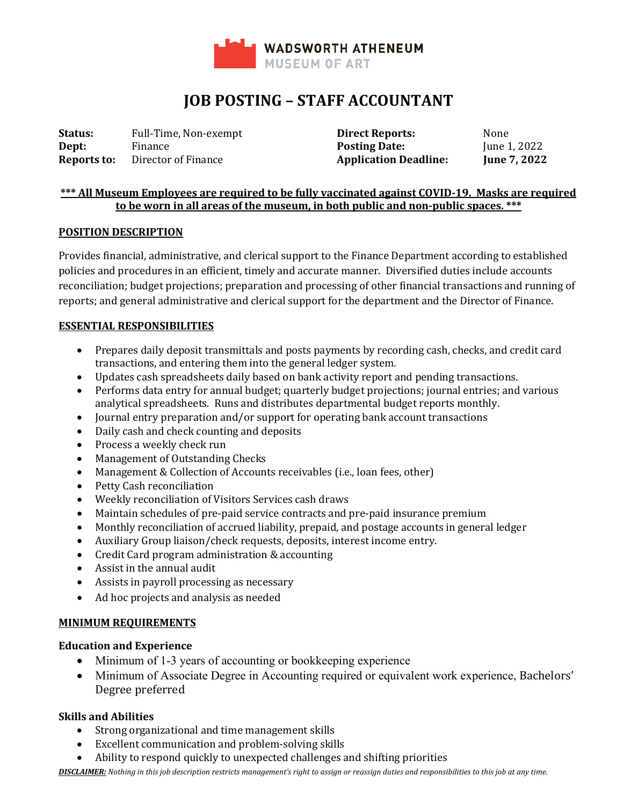

# **JOB POSTING – STAFF ACCOUNTANT**

**Status:** Full-Time, Non-exempt<br>**Dept:** Finance **Dept:** Finance<br>**Reports to:** Director **Reports to:** Director of Finance

**Direct Reports:** None<br> **Posting Date:**  $\qquad \qquad \text{June 1, 2022}$ **Posting Date:** June 1, 2022<br>**Application Deadline: June 7, 2022 Application Deadline:** 

# **\*\*\* All Museum Employees are required to be fully vaccinated against COVID-19. Masks are required to be worn in all areas of the museum, in both public and non-public spaces. \*\*\***

## **POSITION DESCRIPTION**

Provides financial, administrative, and clerical support to the Finance Department according to established policies and procedures in an efficient, timely and accurate manner. Diversified duties include accounts reconciliation; budget projections; preparation and processing of other financial transactions and running of reports; and general administrative and clerical support for the department and the Director of Finance.

## **ESSENTIAL RESPONSIBILITIES**

- Prepares daily deposit transmittals and posts payments by recording cash, checks, and credit card transactions, and entering them into the general ledger system.
- Updates cash spreadsheets daily based on bank activity report and pending transactions.
- Performs data entry for annual budget; quarterly budget projections; journal entries; and various analytical spreadsheets. Runs and distributes departmental budget reports monthly.
- Journal entry preparation and/or support for operating bank account transactions
- Daily cash and check counting and deposits
- Process a weekly check run
- Management of Outstanding Checks
- Management & Collection of Accounts receivables (i.e., loan fees, other)
- Petty Cash reconciliation
- Weekly reconciliation of Visitors Services cash draws
- Maintain schedules of pre-paid service contracts and pre-paid insurance premium
- Monthly reconciliation of accrued liability, prepaid, and postage accounts in general ledger
- Auxiliary Group liaison/check requests, deposits, interest income entry.
- Credit Card program administration & accounting
- Assist in the annual audit
- Assists in payroll processing as necessary
- Ad hoc projects and analysis as needed

## **MINIMUM REQUIREMENTS**

## **Education and Experience**

- Minimum of 1-3 years of accounting or bookkeeping experience
- Minimum of Associate Degree in Accounting required or equivalent work experience, Bachelors' Degree preferred

## **Skills and Abilities**

- Strong organizational and time management skills
- Excellent communication and problem-solving skills
- Ability to respond quickly to unexpected challenges and shifting priorities